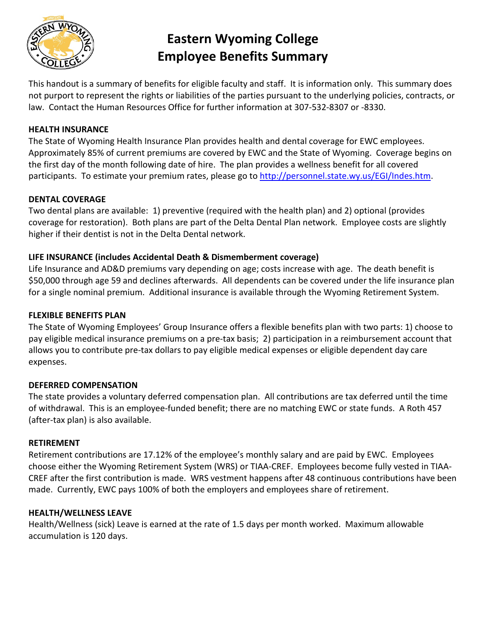

# **Eastern Wyoming College Employee Benefits Summary**

This handout is a summary of benefits for eligible faculty and staff. It is information only. This summary does not purport to represent the rights or liabilities of the parties pursuant to the underlying policies, contracts, or law. Contact the Human Resources Office for further information at 307-532-8307 or -8330.

### **HEALTH INSURANCE**

The State of Wyoming Health Insurance Plan provides health and dental coverage for EWC employees. Approximately 85% of current premiums are covered by EWC and the State of Wyoming. Coverage begins on the first day of the month following date of hire. The plan provides a wellness benefit for all covered participants. To estimate your premium rates, please go to [http://personnel.state.wy.us/EGI/Indes.htm.](http://personnel.state.wy.us/EGI/Indes.htm)

#### **DENTAL COVERAGE**

Two dental plans are available: 1) preventive (required with the health plan) and 2) optional (provides coverage for restoration). Both plans are part of the Delta Dental Plan network. Employee costs are slightly higher if their dentist is not in the Delta Dental network.

#### **LIFE INSURANCE (includes Accidental Death & Dismemberment coverage)**

Life Insurance and AD&D premiums vary depending on age; costs increase with age. The death benefit is \$50,000 through age 59 and declines afterwards. All dependents can be covered under the life insurance plan for a single nominal premium. Additional insurance is available through the Wyoming Retirement System.

#### **FLEXIBLE BENEFITS PLAN**

The State of Wyoming Employees' Group Insurance offers a flexible benefits plan with two parts: 1) choose to pay eligible medical insurance premiums on a pre-tax basis; 2) participation in a reimbursement account that allows you to contribute pre-tax dollars to pay eligible medical expenses or eligible dependent day care expenses.

#### **DEFERRED COMPENSATION**

The state provides a voluntary deferred compensation plan. All contributions are tax deferred until the time of withdrawal. This is an employee-funded benefit; there are no matching EWC or state funds. A Roth 457 (after-tax plan) is also available.

#### **RETIREMENT**

Retirement contributions are 17.12% of the employee's monthly salary and are paid by EWC. Employees choose either the Wyoming Retirement System (WRS) or TIAA-CREF. Employees become fully vested in TIAA-CREF after the first contribution is made. WRS vestment happens after 48 continuous contributions have been made. Currently, EWC pays 100% of both the employers and employees share of retirement.

#### **HEALTH/WELLNESS LEAVE**

Health/Wellness (sick) Leave is earned at the rate of 1.5 days per month worked. Maximum allowable accumulation is 120 days.